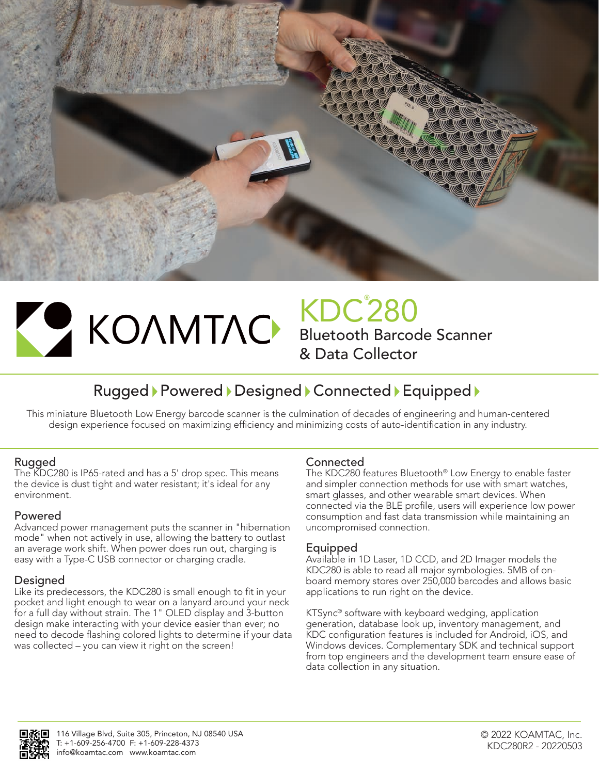



# KDC® 280 Bluetooth Barcode Scanner & Data Collector

# Rugged > Powered > Designed > Connected > Equipped >

This miniature Bluetooth Low Energy barcode scanner is the culmination of decades of engineering and human-centered design experience focused on maximizing efficiency and minimizing costs of auto-identification in any industry.

# Rugged

The KDC280 is IP65-rated and has a 5' drop spec. This means the device is dust tight and water resistant; it's ideal for any environment.

# Powered

Advanced power management puts the scanner in "hibernation mode" when not actively in use, allowing the battery to outlast an average work shift. When power does run out, charging is easy with a Type-C USB connector or charging cradle.

# Designed

Like its predecessors, the KDC280 is small enough to fit in your pocket and light enough to wear on a lanyard around your neck for a full day without strain. The 1" OLED display and 3-button design make interacting with your device easier than ever; no need to decode flashing colored lights to determine if your data was collected – you can view it right on the screen!

# **Connected**

The KDC280 features Bluetooth® Low Energy to enable faster and simpler connection methods for use with smart watches, smart glasses, and other wearable smart devices. When connected via the BLE profile, users will experience low power consumption and fast data transmission while maintaining an uncompromised connection.

# Equipped

Available in 1D Laser, 1D CCD, and 2D Imager models the KDC280 is able to read all major symbologies. 5MB of onboard memory stores over 250,000 barcodes and allows basic applications to run right on the device.

KTSync® software with keyboard wedging, application generation, database look up, inventory management, and KDC configuration features is included for Android, iOS, and Windows devices. Complementary SDK and technical support from top engineers and the development team ensure ease of data collection in any situation.